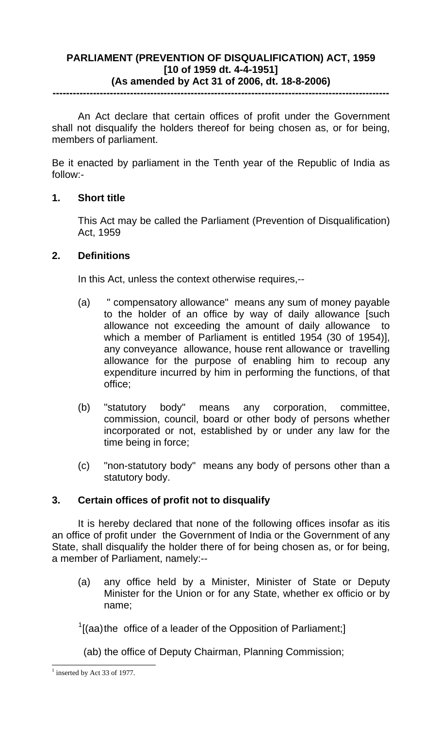## **PARLIAMENT (PREVENTION OF DISQUALIFICATION) ACT, 1959 [10 of 1959 dt. 4-4-1951] (As amended by Act 31 of 2006, dt. 18-8-2006)**

**----------------------------------------------------------------------------------------------------** 

An Act declare that certain offices of profit under the Government shall not disqualify the holders thereof for being chosen as, or for being, members of parliament.

Be it enacted by parliament in the Tenth year of the Republic of India as follow:-

### **1. Short title**

This Act may be called the Parliament (Prevention of Disqualification) Act, 1959

### **2. Definitions**

In this Act, unless the context otherwise requires,--

- (a) " compensatory allowance" means any sum of money payable to the holder of an office by way of daily allowance [such allowance not exceeding the amount of daily allowance to which a member of Parliament is entitled 1954 (30 of 1954)], any conveyance allowance, house rent allowance or travelling allowance for the purpose of enabling him to recoup any expenditure incurred by him in performing the functions, of that office;
- (b) "statutory body" means any corporation, committee, commission, council, board or other body of persons whether incorporated or not, established by or under any law for the time being in force;
- (c) "non-statutory body" means any body of persons other than a statutory body.

## **3. Certain offices of profit not to disqualify**

 It is hereby declared that none of the following offices insofar as itis an office of profit under the Government of India or the Government of any State, shall disqualify the holder there of for being chosen as, or for being, a member of Parliament, namely:--

(a) any office held by a Minister, Minister of State or Deputy Minister for the Union or for any State, whether ex officio or by name;

 $1$ [(aa) the office of a leader of the Opposition of Parliament;]

(ab) the office of Deputy Chairman, Planning Commission;

 $\overline{a}$ 

<span id="page-0-0"></span> $<sup>1</sup>$  inserted by Act 33 of 1977.</sup>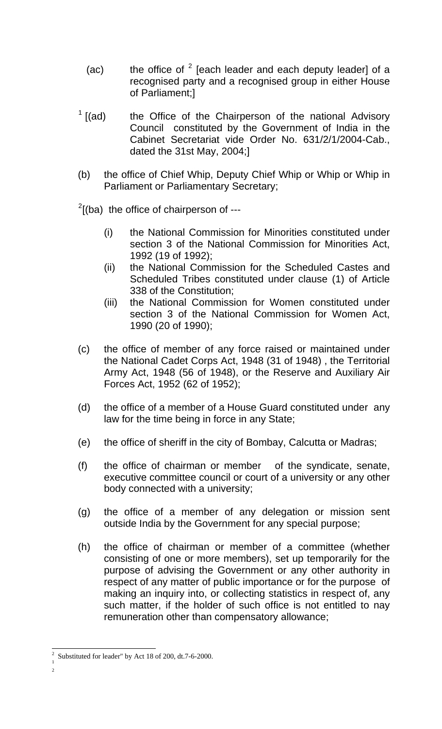- (ac) the office of  $2$  [each leader and each deputy leader] of a recognised party and a recognised group in either House of Parliament;]
- $<sup>1</sup>$  $<sup>1</sup>$  $<sup>1</sup>$  [(ad)</sup> the Office of the Chairperson of the national Advisory Council constituted by the Government of India in the Cabinet Secretariat vide Order No. 631/2/1/2004-Cab., dated the 31st May, 2004;]
- (b) the office of Chief Whip, Deputy Chief Whip or Whip or Whip in Parliament or Parliamentary Secretary;

 $2$ [(ba) the office of chairperson of ---

- (i) the National Commission for Minorities constituted under section 3 of the National Commission for Minorities Act, 1992 (19 of 1992);
- (ii) the National Commission for the Scheduled Castes and Scheduled Tribes constituted under clause (1) of Article 338 of the Constitution;
- (iii) the National Commission for Women constituted under section 3 of the National Commission for Women Act, 1990 (20 of 1990);
- (c) the office of member of any force raised or maintained under the National Cadet Corps Act, 1948 (31 of 1948) , the Territorial Army Act, 1948 (56 of 1948), or the Reserve and Auxiliary Air Forces Act, 1952 (62 of 1952);
- (d) the office of a member of a House Guard constituted under any law for the time being in force in any State;
- (e) the office of sheriff in the city of Bombay, Calcutta or Madras;
- (f) the office of chairman or member of the syndicate, senate, executive committee council or court of a university or any other body connected with a university;
- (g) the office of a member of any delegation or mission sent outside India by the Government for any special purpose;
- (h) the office of chairman or member of a committee (whether consisting of one or more members), set up temporarily for the purpose of advising the Government or any other authority in respect of any matter of public importance or for the purpose of making an inquiry into, or collecting statistics in respect of, any such matter, if the holder of such office is not entitled to nay remuneration other than compensatory allowance;

<span id="page-1-2"></span><span id="page-1-1"></span><span id="page-1-0"></span><sup>&</sup>lt;sup>2</sup> Substituted for leader" by Act 18 of 200, dt.7-6-2000.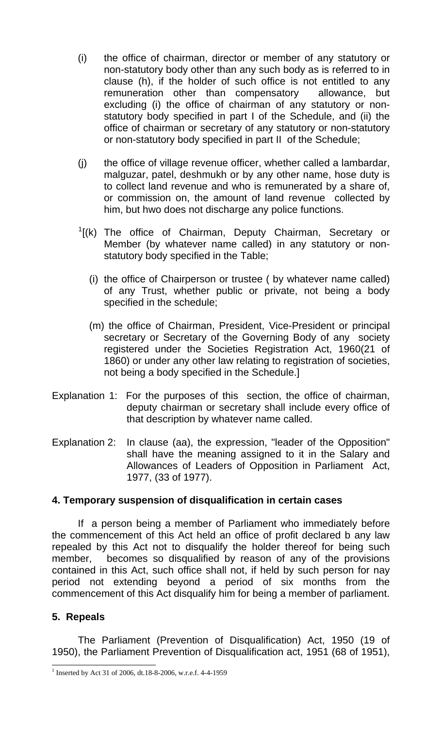- (i) the office of chairman, director or member of any statutory or non-statutory body other than any such body as is referred to in clause (h), if the holder of such office is not entitled to any remuneration other than compensatory allowance, but excluding (i) the office of chairman of any statutory or nonstatutory body specified in part I of the Schedule, and (ii) the office of chairman or secretary of any statutory or non-statutory or non-statutory body specified in part II of the Schedule;
- (j) the office of village revenue officer, whether called a lambardar, malguzar, patel, deshmukh or by any other name, hose duty is to collect land revenue and who is remunerated by a share of, or commission on, the amount of land revenue collected by him, but hwo does not discharge any police functions.
- $<sup>1</sup>$  $<sup>1</sup>$  $<sup>1</sup>$ [(k) The office of Chairman, Deputy Chairman, Secretary or</sup> Member (by whatever name called) in any statutory or nonstatutory body specified in the Table;
	- (i) the office of Chairperson or trustee ( by whatever name called) of any Trust, whether public or private, not being a body specified in the schedule;
	- (m) the office of Chairman, President, Vice-President or principal secretary or Secretary of the Governing Body of any society registered under the Societies Registration Act, 1960(21 of 1860) or under any other law relating to registration of societies, not being a body specified in the Schedule.]
- Explanation 1: For the purposes of this section, the office of chairman, deputy chairman or secretary shall include every office of that description by whatever name called.
- Explanation 2: In clause (aa), the expression, "leader of the Opposition" shall have the meaning assigned to it in the Salary and Allowances of Leaders of Opposition in Parliament Act, 1977, (33 of 1977).

## **4. Temporary suspension of disqualification in certain cases**

 If a person being a member of Parliament who immediately before the commencement of this Act held an office of profit declared b any law repealed by this Act not to disqualify the holder thereof for being such member, becomes so disqualified by reason of any of the provisions contained in this Act, such office shall not, if held by such person for nay period not extending beyond a period of six months from the commencement of this Act disqualify him for being a member of parliament.

## **5. Repeals**

 The Parliament (Prevention of Disqualification) Act, 1950 (19 of 1950), the Parliament Prevention of Disqualification act, 1951 (68 of 1951),

<span id="page-2-0"></span><sup>&</sup>lt;sup>1</sup> Inserted by Act 31 of 2006, dt.18-8-2006, w.r.e.f. 4-4-1959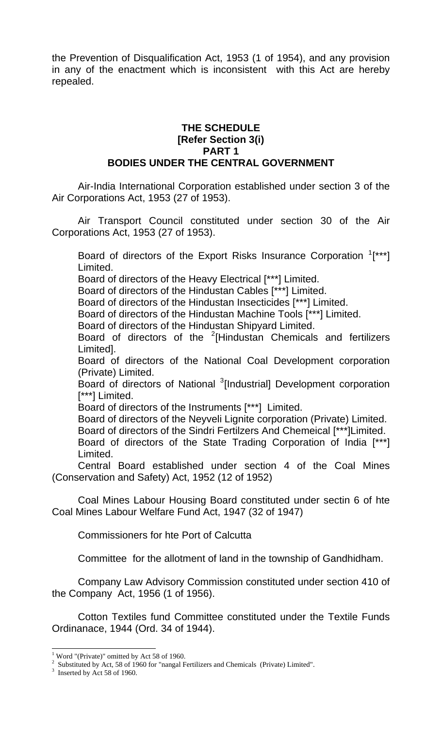the Prevention of Disqualification Act, 1953 (1 of 1954), and any provision in any of the enactment which is inconsistent with this Act are hereby repealed.

### **THE SCHEDULE [Refer Section 3(i) PART 1 BODIES UNDER THE CENTRAL GOVERNMENT**

Air-India International Corporation established under section 3 of the Air Corporations Act, 1953 (27 of 1953).

 Air Transport Council constituted under section 30 of the Air Corporations Act, 1953 (27 of 1953).

Board of directors of the Export Risks Insurance Corporation  $1$ <sup>\*\*\*</sup>] Limited.

Board of directors of the Heavy Electrical [\*\*\*] Limited.

Board of directors of the Hindustan Cables [\*\*\*] Limited.

Board of directors of the Hindustan Insecticides [\*\*\*] Limited.

Board of directors of the Hindustan Machine Tools [\*\*\*] Limited.

Board of directors of the Hindustan Shipyard Limited.

Board of directors of the  $2$ [Hindustan Chemicals and fertilizers Limited].

Board of directors of the National Coal Development corporation (Private) Limited.

Board of directors of National <sup>[3](#page-3-2)</sup>[Industrial] Development corporation [\*\*\*] Limited.

Board of directors of the Instruments [\*\*\*] Limited.

Board of directors of the Neyveli Lignite corporation (Private) Limited. Board of directors of the Sindri Fertilzers And Chemeical [\*\*\*]Limited.

Board of directors of the State Trading Corporation of India [\*\*\*] Limited.

 Central Board established under section 4 of the Coal Mines (Conservation and Safety) Act, 1952 (12 of 1952)

Coal Mines Labour Housing Board constituted under sectin 6 of hte Coal Mines Labour Welfare Fund Act, 1947 (32 of 1947)

Commissioners for hte Port of Calcutta

Committee for the allotment of land in the township of Gandhidham.

Company Law Advisory Commission constituted under section 410 of the Company Act, 1956 (1 of 1956).

Cotton Textiles fund Committee constituted under the Textile Funds Ordinanace, 1944 (Ord. 34 of 1944).

<span id="page-3-0"></span> 1 Word "(Private)" omitted by Act 58 of 1960.

<span id="page-3-1"></span><sup>&</sup>lt;sup>2</sup> Substituted by Act, 58 of 1960 for "nangal Fertilizers and Chemicals (Private) Limited".<br><sup>3</sup> Inserted by Act 58 of 1960.

<span id="page-3-2"></span> $3$  Inserted by Act 58 of 1960.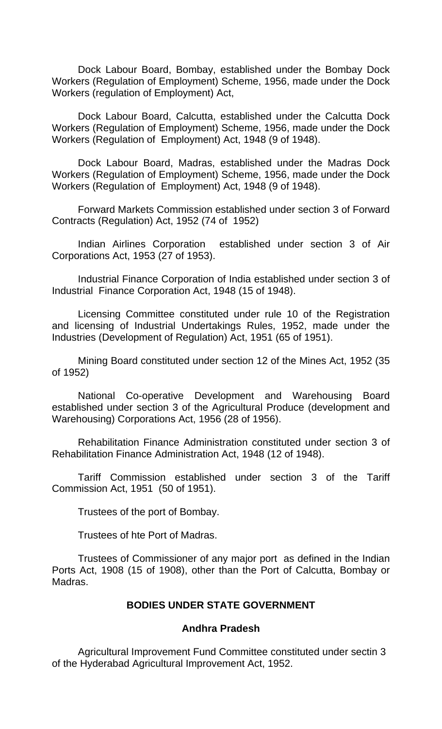Dock Labour Board, Bombay, established under the Bombay Dock Workers (Regulation of Employment) Scheme, 1956, made under the Dock Workers (regulation of Employment) Act,

Dock Labour Board, Calcutta, established under the Calcutta Dock Workers (Regulation of Employment) Scheme, 1956, made under the Dock Workers (Regulation of Employment) Act, 1948 (9 of 1948).

Dock Labour Board, Madras, established under the Madras Dock Workers (Regulation of Employment) Scheme, 1956, made under the Dock Workers (Regulation of Employment) Act, 1948 (9 of 1948).

Forward Markets Commission established under section 3 of Forward Contracts (Regulation) Act, 1952 (74 of 1952)

Indian Airlines Corporation established under section 3 of Air Corporations Act, 1953 (27 of 1953).

Industrial Finance Corporation of India established under section 3 of Industrial Finance Corporation Act, 1948 (15 of 1948).

Licensing Committee constituted under rule 10 of the Registration and licensing of Industrial Undertakings Rules, 1952, made under the Industries (Development of Regulation) Act, 1951 (65 of 1951).

Mining Board constituted under section 12 of the Mines Act, 1952 (35 of 1952)

National Co-operative Development and Warehousing Board established under section 3 of the Agricultural Produce (development and Warehousing) Corporations Act, 1956 (28 of 1956).

Rehabilitation Finance Administration constituted under section 3 of Rehabilitation Finance Administration Act, 1948 (12 of 1948).

Tariff Commission established under section 3 of the Tariff Commission Act, 1951 (50 of 1951).

Trustees of the port of Bombay.

Trustees of hte Port of Madras.

Trustees of Commissioner of any major port as defined in the Indian Ports Act, 1908 (15 of 1908), other than the Port of Calcutta, Bombay or Madras.

### **BODIES UNDER STATE GOVERNMENT**

### **Andhra Pradesh**

 Agricultural Improvement Fund Committee constituted under sectin 3 of the Hyderabad Agricultural Improvement Act, 1952.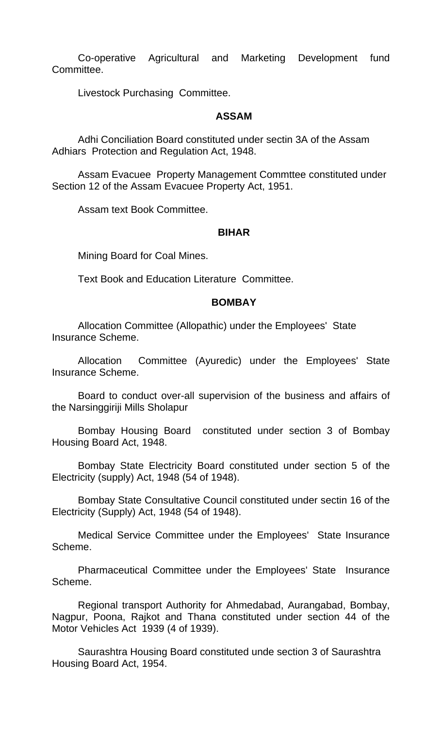Co-operative Agricultural and Marketing Development fund Committee.

Livestock Purchasing Committee.

### **ASSAM**

Adhi Conciliation Board constituted under sectin 3A of the Assam Adhiars Protection and Regulation Act, 1948.

Assam Evacuee Property Management Commttee constituted under Section 12 of the Assam Evacuee Property Act, 1951.

Assam text Book Committee.

### **BIHAR**

Mining Board for Coal Mines.

Text Book and Education Literature Committee.

### **BOMBAY**

Allocation Committee (Allopathic) under the Employees' State Insurance Scheme.

 Allocation Committee (Ayuredic) under the Employees' State Insurance Scheme.

Board to conduct over-all supervision of the business and affairs of the Narsinggiriji Mills Sholapur

Bombay Housing Board constituted under section 3 of Bombay Housing Board Act, 1948.

Bombay State Electricity Board constituted under section 5 of the Electricity (supply) Act, 1948 (54 of 1948).

Bombay State Consultative Council constituted under sectin 16 of the Electricity (Supply) Act, 1948 (54 of 1948).

Medical Service Committee under the Employees' State Insurance Scheme.

Pharmaceutical Committee under the Employees' State Insurance Scheme.

Regional transport Authority for Ahmedabad, Aurangabad, Bombay, Nagpur, Poona, Rajkot and Thana constituted under section 44 of the Motor Vehicles Act 1939 (4 of 1939).

Saurashtra Housing Board constituted unde section 3 of Saurashtra Housing Board Act, 1954.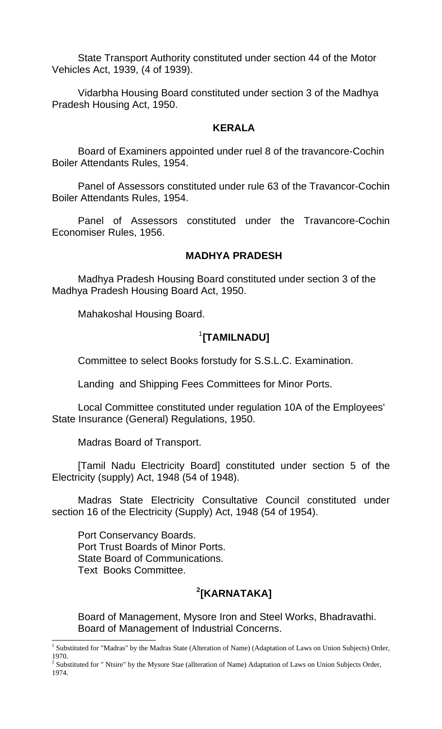State Transport Authority constituted under section 44 of the Motor Vehicles Act, 1939, (4 of 1939).

Vidarbha Housing Board constituted under section 3 of the Madhya Pradesh Housing Act, 1950.

#### **KERALA**

Board of Examiners appointed under ruel 8 of the travancore-Cochin Boiler Attendants Rules, 1954.

Panel of Assessors constituted under rule 63 of the Travancor-Cochin Boiler Attendants Rules, 1954.

Panel of Assessors constituted under the Travancore-Cochin Economiser Rules, 1956.

#### **MADHYA PRADESH**

Madhya Pradesh Housing Board constituted under section 3 of the Madhya Pradesh Housing Board Act, 1950.

Mahakoshal Housing Board.

## [1](#page-6-0) **[TAMILNADU]**

Committee to select Books forstudy for S.S.L.C. Examination.

Landing and Shipping Fees Committees for Minor Ports.

Local Committee constituted under regulation 10A of the Employees' State Insurance (General) Regulations, 1950.

Madras Board of Transport.

[Tamil Nadu Electricity Board] constituted under section 5 of the Electricity (supply) Act, 1948 (54 of 1948).

Madras State Electricity Consultative Council constituted under section 16 of the Electricity (Supply) Act, 1948 (54 of 1954).

Port Conservancy Boards. Port Trust Boards of Minor Ports. State Board of Communications. Text Books Committee.

# **[2](#page-6-1) [KARNATAKA]**

Board of Management, Mysore Iron and Steel Works, Bhadravathi. Board of Management of Industrial Concerns.

<span id="page-6-0"></span><sup>&</sup>lt;sup>1</sup> Substituted for "Madras" by the Madras State (Alteration of Name) (Adaptation of Laws on Union Subjects) Order, 1970.

<span id="page-6-1"></span><sup>&</sup>lt;sup>2</sup> Substituted for " Ntsire" by the Mysore Stae (allteration of Name) Adaptation of Laws on Union Subjects Order, 1974.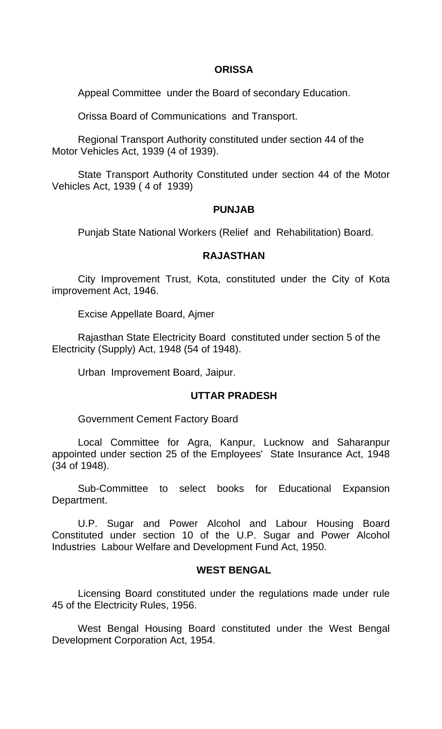### **ORISSA**

Appeal Committee under the Board of secondary Education.

Orissa Board of Communications and Transport.

Regional Transport Authority constituted under section 44 of the Motor Vehicles Act, 1939 (4 of 1939).

State Transport Authority Constituted under section 44 of the Motor Vehicles Act, 1939 ( 4 of 1939)

### **PUNJAB**

Punjab State National Workers (Relief and Rehabilitation) Board.

### **RAJASTHAN**

City Improvement Trust, Kota, constituted under the City of Kota improvement Act, 1946.

Excise Appellate Board, Ajmer

Rajasthan State Electricity Board constituted under section 5 of the Electricity (Supply) Act, 1948 (54 of 1948).

Urban Improvement Board, Jaipur.

## **UTTAR PRADESH**

Government Cement Factory Board

Local Committee for Agra, Kanpur, Lucknow and Saharanpur appointed under section 25 of the Employees' State Insurance Act, 1948 (34 of 1948).

Sub-Committee to select books for Educational Expansion Department.

U.P. Sugar and Power Alcohol and Labour Housing Board Constituted under section 10 of the U.P. Sugar and Power Alcohol Industries Labour Welfare and Development Fund Act, 1950.

## **WEST BENGAL**

Licensing Board constituted under the regulations made under rule 45 of the Electricity Rules, 1956.

West Bengal Housing Board constituted under the West Bengal Development Corporation Act, 1954.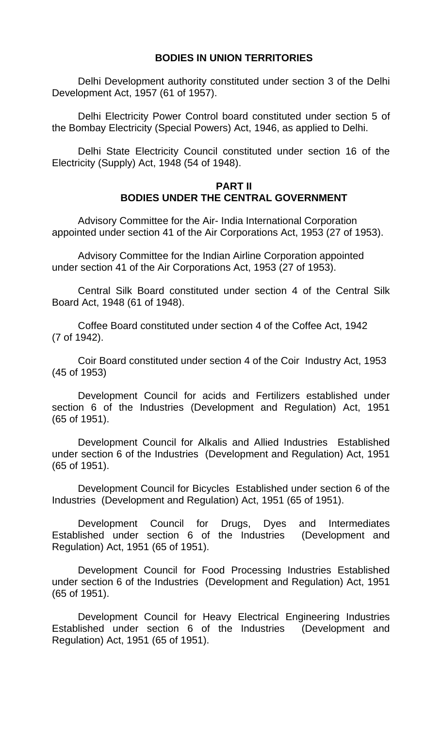### **BODIES IN UNION TERRITORIES**

Delhi Development authority constituted under section 3 of the Delhi Development Act, 1957 (61 of 1957).

Delhi Electricity Power Control board constituted under section 5 of the Bombay Electricity (Special Powers) Act, 1946, as applied to Delhi.

Delhi State Electricity Council constituted under section 16 of the Electricity (Supply) Act, 1948 (54 of 1948).

#### **PART II BODIES UNDER THE CENTRAL GOVERNMENT**

Advisory Committee for the Air- India International Corporation appointed under section 41 of the Air Corporations Act, 1953 (27 of 1953).

Advisory Committee for the Indian Airline Corporation appointed under section 41 of the Air Corporations Act, 1953 (27 of 1953).

Central Silk Board constituted under section 4 of the Central Silk Board Act, 1948 (61 of 1948).

Coffee Board constituted under section 4 of the Coffee Act, 1942 (7 of 1942).

Coir Board constituted under section 4 of the Coir Industry Act, 1953 (45 of 1953)

Development Council for acids and Fertilizers established under section 6 of the Industries (Development and Regulation) Act, 1951 (65 of 1951).

Development Council for Alkalis and Allied Industries Established under section 6 of the Industries (Development and Regulation) Act, 1951 (65 of 1951).

Development Council for Bicycles Established under section 6 of the Industries (Development and Regulation) Act, 1951 (65 of 1951).

Development Council for Drugs, Dyes and Intermediates Established under section 6 of the Industries (Development and Regulation) Act, 1951 (65 of 1951).

Development Council for Food Processing Industries Established under section 6 of the Industries (Development and Regulation) Act, 1951 (65 of 1951).

Development Council for Heavy Electrical Engineering Industries Established under section 6 of the Industries (Development and Regulation) Act, 1951 (65 of 1951).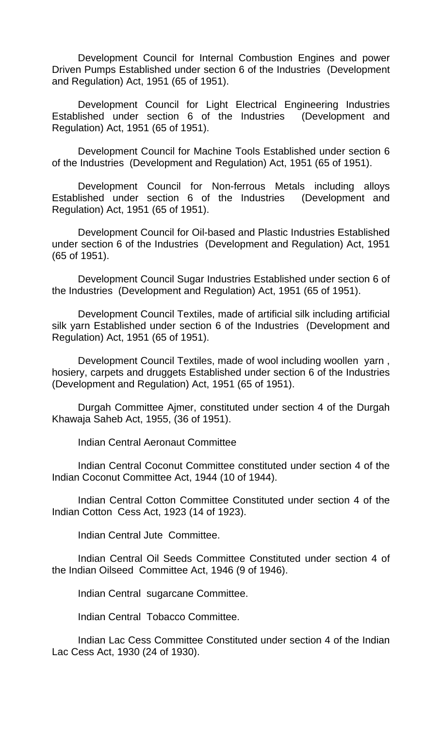Development Council for Internal Combustion Engines and power Driven Pumps Established under section 6 of the Industries (Development and Regulation) Act, 1951 (65 of 1951).

Development Council for Light Electrical Engineering Industries Established under section 6 of the Industries (Development and Regulation) Act, 1951 (65 of 1951).

Development Council for Machine Tools Established under section 6 of the Industries (Development and Regulation) Act, 1951 (65 of 1951).

Development Council for Non-ferrous Metals including alloys Established under section 6 of the Industries (Development and Regulation) Act, 1951 (65 of 1951).

Development Council for Oil-based and Plastic Industries Established under section 6 of the Industries (Development and Regulation) Act, 1951 (65 of 1951).

Development Council Sugar Industries Established under section 6 of the Industries (Development and Regulation) Act, 1951 (65 of 1951).

Development Council Textiles, made of artificial silk including artificial silk yarn Established under section 6 of the Industries (Development and Regulation) Act, 1951 (65 of 1951).

Development Council Textiles, made of wool including woollen yarn , hosiery, carpets and druggets Established under section 6 of the Industries (Development and Regulation) Act, 1951 (65 of 1951).

Durgah Committee Ajmer, constituted under section 4 of the Durgah Khawaja Saheb Act, 1955, (36 of 1951).

Indian Central Aeronaut Committee

Indian Central Coconut Committee constituted under section 4 of the Indian Coconut Committee Act, 1944 (10 of 1944).

Indian Central Cotton Committee Constituted under section 4 of the Indian Cotton Cess Act, 1923 (14 of 1923).

Indian Central Jute Committee.

Indian Central Oil Seeds Committee Constituted under section 4 of the Indian Oilseed Committee Act, 1946 (9 of 1946).

Indian Central sugarcane Committee.

Indian Central Tobacco Committee.

Indian Lac Cess Committee Constituted under section 4 of the Indian Lac Cess Act, 1930 (24 of 1930).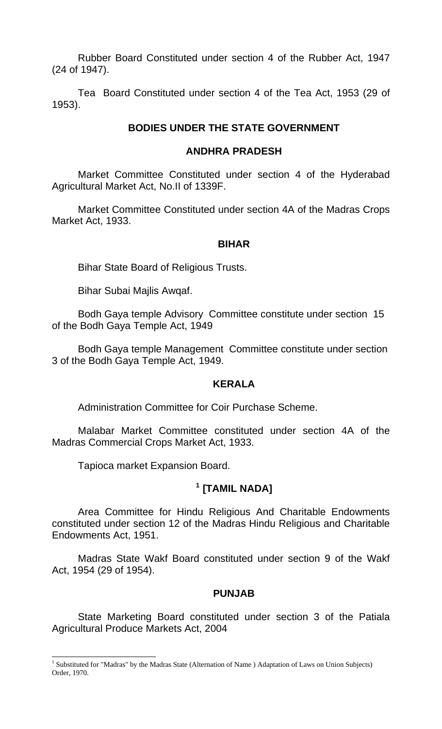Rubber Board Constituted under section 4 of the Rubber Act, 1947 (24 of 1947).

Tea Board Constituted under section 4 of the Tea Act, 1953 (29 of 1953).

### **BODIES UNDER THE STATE GOVERNMENT**

### **ANDHRA PRADESH**

Market Committee Constituted under section 4 of the Hyderabad Agricultural Market Act, No.II of 1339F.

Market Committee Constituted under section 4A of the Madras Crops Market Act, 1933.

### **BIHAR**

Bihar State Board of Religious Trusts.

Bihar Subai Majlis Awqaf.

Bodh Gaya temple Advisory Committee constitute under section 15 of the Bodh Gaya Temple Act, 1949

Bodh Gaya temple Management Committee constitute under section 3 of the Bodh Gaya Temple Act, 1949.

### **KERALA**

Administration Committee for Coir Purchase Scheme.

Malabar Market Committee constituted under section 4A of the Madras Commercial Crops Market Act, 1933.

Tapioca market Expansion Board.

 $\overline{a}$ 

## **[1](#page-10-0) [TAMIL NADA]**

Area Committee for Hindu Religious And Charitable Endowments constituted under section 12 of the Madras Hindu Religious and Charitable Endowments Act, 1951.

Madras State Wakf Board constituted under section 9 of the Wakf Act, 1954 (29 of 1954).

### **PUNJAB**

State Marketing Board constituted under section 3 of the Patiala Agricultural Produce Markets Act, 2004

<span id="page-10-0"></span><sup>&</sup>lt;sup>1</sup> Substituted for "Madras" by the Madras State (Alternation of Name ) Adaptation of Laws on Union Subjects) Order, 1970.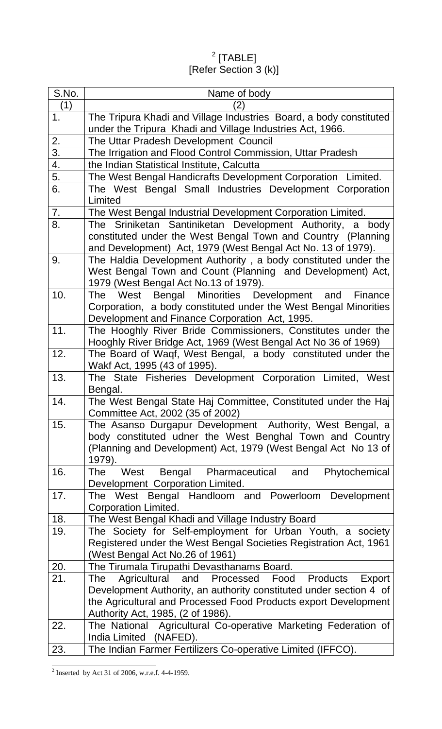$^2$  $^2$  [TABLE] [Refer Section 3 (k)]

| S.No.            | Name of body                                                                                                                    |
|------------------|---------------------------------------------------------------------------------------------------------------------------------|
| (1)              | $\left 2\right\rangle$                                                                                                          |
| 1 <sub>1</sub>   | The Tripura Khadi and Village Industries Board, a body constituted<br>under the Tripura Khadi and Village Industries Act, 1966. |
| 2.               | The Uttar Pradesh Development Council                                                                                           |
| $\overline{3}$ . | The Irrigation and Flood Control Commission, Uttar Pradesh                                                                      |
| 4.               | the Indian Statistical Institute, Calcutta                                                                                      |
| 5.               | The West Bengal Handicrafts Development Corporation Limited.                                                                    |
| 6.               | The West Bengal Small Industries Development Corporation<br>Limited                                                             |
| 7.               | The West Bengal Industrial Development Corporation Limited.                                                                     |
| 8.               | The Sriniketan Santiniketan Development Authority,<br>body<br>a                                                                 |
|                  | constituted under the West Bengal Town and Country (Planning                                                                    |
|                  | and Development) Act, 1979 (West Bengal Act No. 13 of 1979).                                                                    |
| 9.               | The Haldia Development Authority, a body constituted under the                                                                  |
|                  | West Bengal Town and Count (Planning and Development) Act,                                                                      |
|                  | 1979 (West Bengal Act No.13 of 1979).                                                                                           |
| 10.              | Bengal Minorities Development and<br>West<br>Finance<br>The                                                                     |
|                  | Corporation, a body constituted under the West Bengal Minorities                                                                |
|                  | Development and Finance Corporation Act, 1995.                                                                                  |
| 11.              | The Hooghly River Bride Commissioners, Constitutes under the<br>Hooghly River Bridge Act, 1969 (West Bengal Act No 36 of 1969)  |
| 12.              | The Board of Waqf, West Bengal, a body constituted under the                                                                    |
|                  | Wakf Act, 1995 (43 of 1995).                                                                                                    |
| 13.              | The State Fisheries Development Corporation Limited, West                                                                       |
|                  | Bengal.                                                                                                                         |
| 14.              | The West Bengal State Haj Committee, Constituted under the Haj                                                                  |
|                  | Committee Act, 2002 (35 of 2002)                                                                                                |
| 15.              | The Asanso Durgapur Development Authority, West Bengal, a                                                                       |
|                  | body constituted udner the West Benghal Town and Country                                                                        |
|                  | (Planning and Development) Act, 1979 (West Bengal Act No 13 of<br>1979).                                                        |
| 16.              | Bengal Pharmaceutical<br>and<br>Phytochemical<br><b>The</b><br>West                                                             |
|                  | Development Corporation Limited.                                                                                                |
| 17.              | The West Bengal Handloom and Powerloom Development                                                                              |
|                  | Corporation Limited.                                                                                                            |
| 18.              | The West Bengal Khadi and Village Industry Board                                                                                |
| 19.              | The Society for Self-employment for Urban Youth, a society                                                                      |
|                  | Registered under the West Bengal Societies Registration Act, 1961                                                               |
|                  | (West Bengal Act No.26 of 1961)                                                                                                 |
| 20.              | The Tirumala Tirupathi Devasthanams Board.                                                                                      |
| 21.              | Agricultural and Processed Food Products<br>The<br>Export                                                                       |
|                  | Development Authority, an authority constituted under section 4 of                                                              |
|                  | the Agricultural and Processed Food Products export Development                                                                 |
|                  | Authority Act, 1985, (2 of 1986).                                                                                               |
| 22.              | The National Agricultural Co-operative Marketing Federation of<br>India Limited (NAFED).                                        |
| 23.              | The Indian Farmer Fertilizers Co-operative Limited (IFFCO).                                                                     |

<span id="page-11-0"></span><sup>&</sup>lt;sup>2</sup> Inserted by Act 31 of 2006, w.r.e.f. 4-4-1959.